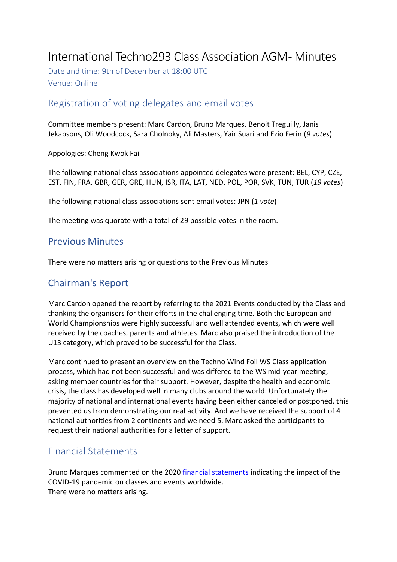# International Techno293 Class Association AGM- Minutes

Date and time: 9th of December at 18:00 UTC Venue: Online

# Registration of voting delegates and email votes

Committee members present: Marc Cardon, Bruno Marques, Benoit Treguilly, Janis Jekabsons, Oli Woodcock, Sara Cholnoky, Ali Masters, Yair Suari and Ezio Ferin (*9 votes*)

Appologies: Cheng Kwok Fai

The following national class associations appointed delegates were present: BEL, CYP, CZE, EST, FIN, FRA, GBR, GER, GRE, HUN, ISR, ITA, LAT, NED, POL, POR, SVK, TUN, TUR (*19 votes*)

The following national class associations sent email votes: JPN (*1 vote*)

The meeting was quorate with a total of 29 possible votes in the room.

# Previous Minutes

There were no matters arising or questions to the [Previous Minutes](http://internationalwindsurfing.com/userfiles/documents/2020_Techno_AGM_Minutes.pdf)

# Chairman's Report

Marc Cardon opened the report by referring to the 2021 Events conducted by the Class and thanking the organisers for their efforts in the challenging time. Both the European and World Championships were highly successful and well attended events, which were well received by the coaches, parents and athletes. Marc also praised the introduction of the U13 category, which proved to be successful for the Class.

Marc continued to present an overview on the Techno Wind Foil WS Class application process, which had not been successful and was differed to the WS mid-year meeting, asking member countries for their support. However, despite the health and economic crisis, the class has developed well in many clubs around the world. Unfortunately the majority of national and international events having been either canceled or postponed, this prevented us from demonstrating our real activity. And we have received the support of 4 national authorities from 2 continents and we need 5. Marc asked the participants to request their national authorities for a letter of support.

# Financial Statements

Bruno Marques commented on the 2020 [financial statements](https://www.dropbox.com/s/fhg9bmndrppd1zx/IncomeExpenditurebyClass311220-2.pdf?dl=0) indicating the impact of the COVID-19 pandemic on classes and events worldwide. There were no matters arising.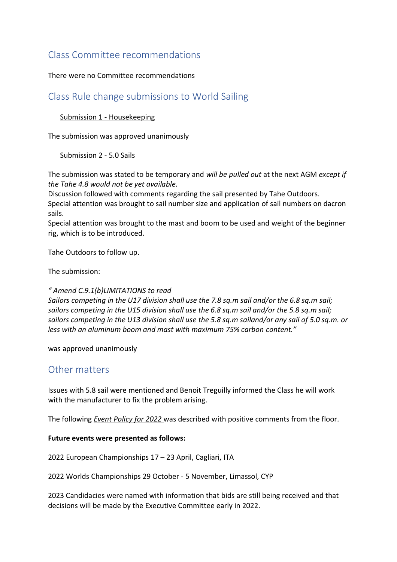# Class Committee recommendations

### There were no Committee recommendations

### Class Rule change submissions to World Sailing

### [Submission 1 -](https://www.dropbox.com/s/6u5706wlmpb1uu5/S1_Housekeeping_NED.pdf?dl=0) Housekeeping

The submission was approved unanimously

### [Submission 2 -](https://www.dropbox.com/s/rvobw8x1xq9nv36/S2_5_0_sails_POL.pdf?dl=0) 5.0 Sails

The submission was stated to be temporary and *will be pulled out* at the next AGM *except if the Tahe 4.8 would not be yet available.*

Discussion followed with comments regarding the sail presented by Tahe Outdoors. Special attention was brought to sail number size and application of sail numbers on dacron sails.

Special attention was brought to the mast and boom to be used and weight of the beginner rig, which is to be introduced.

Tahe Outdoors to follow up.

The submission:

#### *" Amend C.9.1(b)LIMITATIONS to read*

*Sailors competing in the U17 division shall use the 7.8 sq.m sail and/or the 6.8 sq.m sail; sailors competing in the U15 division shall use the 6.8 sq.m sail and/or the 5.8 sq.m sail; sailors competing in the U13 division shall use the 5.8 sq.m sailand/or any sail of 5.0 sq.m. or less with an aluminum boom and mast with maximum 75% carbon content."*

was approved unanimously

### Other matters

Issues with 5.8 sail were mentioned and Benoit Treguilly informed the Class he will work with the manufacturer to fix the problem arising.

The following *[Event Policy for 2022](https://www.dropbox.com/s/gr9xm94e7sn18lb/Policy%20for%202022%20Championships.pdf?dl=0)* was described with positive comments from the floor.

#### **Future events were presented as follows:**

2022 European Championships 17 – 23 April, Cagliari, ITA

2022 Worlds Championships 29 October - 5 November, Limassol, CYP

2023 Candidacies were named with information that bids are still being received and that decisions will be made by the Executive Committee early in 2022.